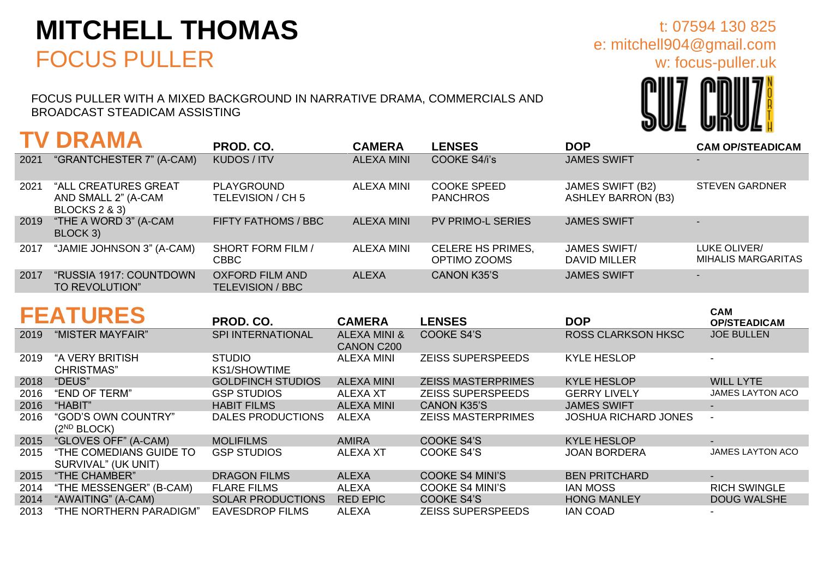## **MITCHELL THOMAS** FOCUS PULLER

FOCUS PULLER WITH A MIXED BACKGROUND IN NARRATIVE DRAMA, COMMERCIALS AND BROADCAST STEADICAM ASSISTING

**TV DRAMA PROD. CO. CAMERA LENSES DOP CAM OP/STEADICAM** 2021 "GRANTCHESTER 7" (A-CAM) KUDOS / ITV ALEXA MINI COOKE S4/i's JAMES SWIFT 2021 "ALL CREATURES GREAT AND SMALL 2" (A-CAM BLOCKS 2 & 3) PLAYGROUND TELEVISION / CH 5 ALEXA MINI COOKE SPEED PANCHROS JAMES SWIFT (B2) ASHLEY BARRON (B3) STEVEN GARDNER 2019 "THE A WORD 3" (A-CAM BLOCK 3) FIFTY FATHOMS / BBC ALEXA MINI PV PRIMO-L SERIES JAMES SWIFT 2017 "JAMIE JOHNSON 3" (A-CAM) SHORT FORM FILM / CBBC ALEXA MINI CELERE HS PRIMES, OPTIMO ZOOMS JAMES SWIFT/ DAVID MILLER LUKE OLIVER/ MIHALIS MARGARITAS 2017 "RUSSIA 1917: COUNTDOWN TO REVOLUTION" OXFORD FILM AND TELEVISION / BBC ALEXA CANON K35'S JAMES SWIFT **FEATURES PROD. CO. CAMERA LENSES DOP CAM OP/STEADICAM** 2019 "MISTER MAYFAIR" SPI INTERNATIONAL ALEXA MINI & CANON C200 COOKE S4'S ROSS CLARKSON HKSC JOE BULLEN

| 2019 | "A VERY BRITISH<br><b>CHRISTMAS</b> "          | <b>STUDIO</b><br><b>KS1/SHOWTIME</b> | <b>ALEXA MINI</b> | <b>ZEISS SUPERSPEEDS</b>  | <b>KYLE HESLOP</b>          |                          |
|------|------------------------------------------------|--------------------------------------|-------------------|---------------------------|-----------------------------|--------------------------|
| 2018 | "DEUS"                                         | <b>GOLDFINCH STUDIOS</b>             | ALEXA MINI        | <b>ZEISS MASTERPRIMES</b> | <b>KYLE HESLOP</b>          | <b>WILL LYTE</b>         |
| 2016 | "END OF TERM"                                  | <b>GSP STUDIOS</b>                   | <b>ALEXA XT</b>   | <b>ZEISS SUPERSPEEDS</b>  | <b>GERRY LIVELY</b>         | <b>JAMES LAYTON ACO</b>  |
| 2016 | "HABIT"                                        | <b>HABIT FILMS</b>                   | <b>ALEXA MINI</b> | <b>CANON K35'S</b>        | <b>JAMES SWIFT</b>          | $\overline{\phantom{0}}$ |
| 2016 | "GOD'S OWN COUNTRY"<br>$(2^{ND}$ BLOCK)        | DALES PRODUCTIONS                    | ALEXA             | <b>ZEISS MASTERPRIMES</b> | <b>JOSHUA RICHARD JONES</b> | $\overline{\phantom{0}}$ |
| 2015 | "GLOVES OFF" (A-CAM)                           | <b>MOLIFILMS</b>                     | <b>AMIRA</b>      | <b>COOKE S4'S</b>         | <b>KYLE HESLOP</b>          | $\overline{\phantom{0}}$ |
| 2015 | "THE COMEDIANS GUIDE TO<br>SURVIVAL" (UK UNIT) | <b>GSP STUDIOS</b>                   | ALEXA XT          | COOKE S4'S                | <b>JOAN BORDERA</b>         | <b>JAMES LAYTON ACO</b>  |
| 2015 | "THE CHAMBER"                                  | <b>DRAGON FILMS</b>                  | <b>ALEXA</b>      | <b>COOKE S4 MINI'S</b>    | <b>BEN PRITCHARD</b>        | $\overline{\phantom{0}}$ |
| 2014 | "THE MESSENGER" (B-CAM)                        | <b>FLARE FILMS</b>                   | <b>ALEXA</b>      | <b>COOKE S4 MINI'S</b>    | IAN MOSS                    | <b>RICH SWINGLE</b>      |
| 2014 | "AWAITING" (A-CAM)                             | <b>SOLAR PRODUCTIONS</b>             | <b>RED EPIC</b>   | <b>COOKE S4'S</b>         | <b>HONG MANLEY</b>          | <b>DOUG WALSHE</b>       |
| 2013 | "THE NORTHERN PARADIGM"                        | <b>EAVESDROP FILMS</b>               | ALEXA             | <b>ZEISS SUPERSPEEDS</b>  | <b>IAN COAD</b>             |                          |



e: mitchell904@gmail.com

t: 07594 130 825

w: focus-puller.uk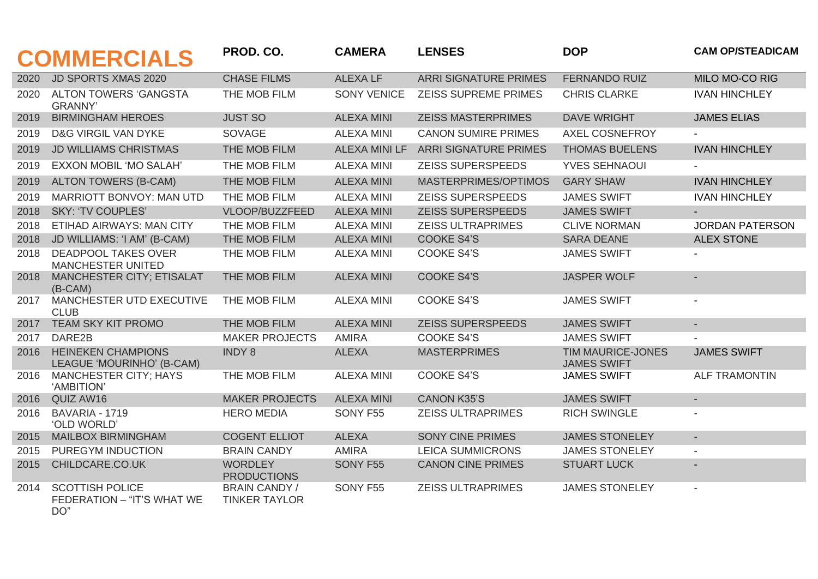|      | <b>COMMERCIALS</b>                                          | PROD. CO.                                    | <b>CAMERA</b>        | <b>LENSES</b>                | <b>DOP</b>                              | <b>CAM OP/STEADICAM</b> |
|------|-------------------------------------------------------------|----------------------------------------------|----------------------|------------------------------|-----------------------------------------|-------------------------|
| 2020 | JD SPORTS XMAS 2020                                         | <b>CHASE FILMS</b>                           | <b>ALEXALF</b>       | <b>ARRI SIGNATURE PRIMES</b> | <b>FERNANDO RUIZ</b>                    | MILO MO-CO RIG          |
| 2020 | <b>ALTON TOWERS 'GANGSTA</b><br><b>GRANNY'</b>              | THE MOB FILM                                 | <b>SONY VENICE</b>   | <b>ZEISS SUPREME PRIMES</b>  | <b>CHRIS CLARKE</b>                     | <b>IVAN HINCHLEY</b>    |
| 2019 | <b>BIRMINGHAM HEROES</b>                                    | <b>JUST SO</b>                               | <b>ALEXA MINI</b>    | <b>ZEISS MASTERPRIMES</b>    | <b>DAVE WRIGHT</b>                      | <b>JAMES ELIAS</b>      |
| 2019 | <b>D&amp;G VIRGIL VAN DYKE</b>                              | <b>SOVAGE</b>                                | <b>ALEXA MINI</b>    | <b>CANON SUMIRE PRIMES</b>   | <b>AXEL COSNEFROY</b>                   |                         |
| 2019 | <b>JD WILLIAMS CHRISTMAS</b>                                | THE MOB FILM                                 | <b>ALEXA MINI LF</b> | <b>ARRI SIGNATURE PRIMES</b> | <b>THOMAS BUELENS</b>                   | <b>IVAN HINCHLEY</b>    |
| 2019 | <b>EXXON MOBIL 'MO SALAH'</b>                               | THE MOB FILM                                 | <b>ALEXA MINI</b>    | <b>ZEISS SUPERSPEEDS</b>     | <b>YVES SEHNAOUI</b>                    |                         |
| 2019 | <b>ALTON TOWERS (B-CAM)</b>                                 | THE MOB FILM                                 | <b>ALEXA MINI</b>    | MASTERPRIMES/OPTIMOS         | <b>GARY SHAW</b>                        | <b>IVAN HINCHLEY</b>    |
| 2019 | MARRIOTT BONVOY: MAN UTD                                    | THE MOB FILM                                 | <b>ALEXA MINI</b>    | <b>ZEISS SUPERSPEEDS</b>     | <b>JAMES SWIFT</b>                      | <b>IVAN HINCHLEY</b>    |
| 2018 | <b>SKY: 'TV COUPLES'</b>                                    | VLOOP/BUZZFEED                               | <b>ALEXA MINI</b>    | <b>ZEISS SUPERSPEEDS</b>     | <b>JAMES SWIFT</b>                      |                         |
| 2018 | ETIHAD AIRWAYS: MAN CITY                                    | THE MOB FILM                                 | <b>ALEXA MINI</b>    | <b>ZEISS ULTRAPRIMES</b>     | <b>CLIVE NORMAN</b>                     | <b>JORDAN PATERSON</b>  |
| 2018 | JD WILLIAMS: 'I AM' (B-CAM)                                 | THE MOB FILM                                 | <b>ALEXA MINI</b>    | <b>COOKE S4'S</b>            | <b>SARA DEANE</b>                       | <b>ALEX STONE</b>       |
| 2018 | <b>DEADPOOL TAKES OVER</b><br><b>MANCHESTER UNITED</b>      | THE MOB FILM                                 | <b>ALEXA MINI</b>    | COOKE S4'S                   | <b>JAMES SWIFT</b>                      |                         |
| 2018 | MANCHESTER CITY; ETISALAT<br>$(B-CAM)$                      | THE MOB FILM                                 | <b>ALEXA MINI</b>    | <b>COOKE S4'S</b>            | <b>JASPER WOLF</b>                      |                         |
| 2017 | MANCHESTER UTD EXECUTIVE<br><b>CLUB</b>                     | THE MOB FILM                                 | <b>ALEXA MINI</b>    | <b>COOKE S4'S</b>            | <b>JAMES SWIFT</b>                      |                         |
| 2017 | TEAM SKY KIT PROMO                                          | THE MOB FILM                                 | <b>ALEXA MINI</b>    | <b>ZEISS SUPERSPEEDS</b>     | <b>JAMES SWIFT</b>                      | $\sim$                  |
| 2017 | DARE2B                                                      | <b>MAKER PROJECTS</b>                        | <b>AMIRA</b>         | <b>COOKE S4'S</b>            | <b>JAMES SWIFT</b>                      |                         |
| 2016 | <b>HEINEKEN CHAMPIONS</b><br>LEAGUE 'MOURINHO' (B-CAM)      | <b>INDY 8</b>                                | <b>ALEXA</b>         | <b>MASTERPRIMES</b>          | TIM MAURICE-JONES<br><b>JAMES SWIFT</b> | <b>JAMES SWIFT</b>      |
| 2016 | <b>MANCHESTER CITY; HAYS</b><br>'AMBITION'                  | THE MOB FILM                                 | <b>ALEXA MINI</b>    | <b>COOKE S4'S</b>            | <b>JAMES SWIFT</b>                      | <b>ALF TRAMONTIN</b>    |
| 2016 | QUIZ AW16                                                   | <b>MAKER PROJECTS</b>                        | <b>ALEXA MINI</b>    | <b>CANON K35'S</b>           | <b>JAMES SWIFT</b>                      | $\sim$                  |
| 2016 | BAVARIA - 1719<br>'OLD WORLD'                               | <b>HERO MEDIA</b>                            | SONY F55             | <b>ZEISS ULTRAPRIMES</b>     | <b>RICH SWINGLE</b>                     | $\blacksquare$          |
| 2015 | <b>MAILBOX BIRMINGHAM</b>                                   | <b>COGENT ELLIOT</b>                         | <b>ALEXA</b>         | <b>SONY CINE PRIMES</b>      | <b>JAMES STONELEY</b>                   | $\blacksquare$          |
| 2015 | PUREGYM INDUCTION                                           | <b>BRAIN CANDY</b>                           | <b>AMIRA</b>         | <b>LEICA SUMMICRONS</b>      | <b>JAMES STONELEY</b>                   | $\blacksquare$          |
| 2015 | CHILDCARE.CO.UK                                             | <b>WORDLEY</b><br><b>PRODUCTIONS</b>         | SONY F55             | <b>CANON CINE PRIMES</b>     | <b>STUART LUCK</b>                      | $\blacksquare$          |
| 2014 | <b>SCOTTISH POLICE</b><br>FEDERATION - "IT'S WHAT WE<br>DO" | <b>BRAIN CANDY /</b><br><b>TINKER TAYLOR</b> | SONY F55             | <b>ZEISS ULTRAPRIMES</b>     | <b>JAMES STONELEY</b>                   | $\blacksquare$          |